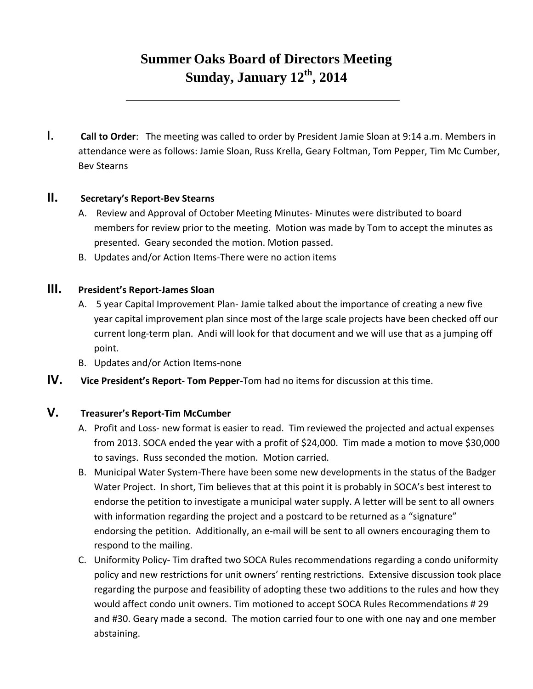# **Summer Oaks Board of Directors Meeting Sunday, January 12th, 2014**

I. **Call to Order**: The meeting was called to order by President Jamie Sloan at 9:14 a.m. Members in attendance were as follows: Jamie Sloan, Russ Krella, Geary Foltman, Tom Pepper, Tim Mc Cumber, Bev Stearns

## **II. Secretary's Report‐Bev Stearns**

- A. Review and Approval of October Meeting Minutes‐ Minutes were distributed to board members for review prior to the meeting. Motion was made by Tom to accept the minutes as presented. Geary seconded the motion. Motion passed.
- B. Updates and/or Action Items‐There were no action items

#### **III. President's Report‐James Sloan**

- A. 5 year Capital Improvement Plan‐ Jamie talked about the importance of creating a new five year capital improvement plan since most of the large scale projects have been checked off our current long‐term plan. Andi will look for that document and we will use that as a jumping off point.
- B. Updates and/or Action Items‐none
- **IV. Vice President's Report‐ Tom Pepper‐**Tom had no items for discussion at this time.

# **V. Treasurer's Report‐Tim McCumber**

- A. Profit and Loss‐ new format is easier to read. Tim reviewed the projected and actual expenses from 2013. SOCA ended the year with a profit of \$24,000. Tim made a motion to move \$30,000 to savings. Russ seconded the motion. Motion carried.
- B. Municipal Water System‐There have been some new developments in the status of the Badger Water Project. In short, Tim believes that at this point it is probably in SOCA's best interest to endorse the petition to investigate a municipal water supply. A letter will be sent to all owners with information regarding the project and a postcard to be returned as a "signature" endorsing the petition. Additionally, an e‐mail will be sent to all owners encouraging them to respond to the mailing.
- C. Uniformity Policy‐ Tim drafted two SOCA Rules recommendations regarding a condo uniformity policy and new restrictions for unit owners' renting restrictions. Extensive discussion took place regarding the purpose and feasibility of adopting these two additions to the rules and how they would affect condo unit owners. Tim motioned to accept SOCA Rules Recommendations # 29 and #30. Geary made a second. The motion carried four to one with one nay and one member abstaining.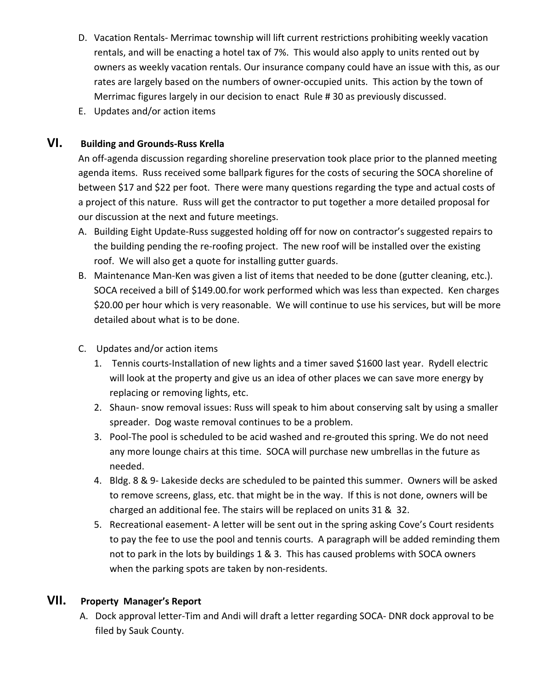- D. Vacation Rentals‐ Merrimac township will lift current restrictions prohibiting weekly vacation rentals, and will be enacting a hotel tax of 7%. This would also apply to units rented out by owners as weekly vacation rentals. Our insurance company could have an issue with this, as our rates are largely based on the numbers of owner‐occupied units. This action by the town of Merrimac figures largely in our decision to enact Rule # 30 as previously discussed.
- E. Updates and/or action items

# **VI. Building and Grounds‐Russ Krella**

An off-agenda discussion regarding shoreline preservation took place prior to the planned meeting agenda items. Russ received some ballpark figures for the costs of securing the SOCA shoreline of between \$17 and \$22 per foot. There were many questions regarding the type and actual costs of a project of this nature. Russ will get the contractor to put together a more detailed proposal for our discussion at the next and future meetings.

- A. Building Eight Update‐Russ suggested holding off for now on contractor's suggested repairs to the building pending the re‐roofing project. The new roof will be installed over the existing roof. We will also get a quote for installing gutter guards.
- B. Maintenance Man‐Ken was given a list of items that needed to be done (gutter cleaning, etc.). SOCA received a bill of \$149.00.for work performed which was less than expected. Ken charges \$20.00 per hour which is very reasonable. We will continue to use his services, but will be more detailed about what is to be done.
- C. Updates and/or action items
	- 1. Tennis courts-Installation of new lights and a timer saved \$1600 last year. Rydell electric will look at the property and give us an idea of other places we can save more energy by replacing or removing lights, etc.
	- 2. Shaun‐ snow removal issues: Russ will speak to him about conserving salt by using a smaller spreader. Dog waste removal continues to be a problem.
	- 3. Pool‐The pool is scheduled to be acid washed and re‐grouted this spring. We do not need any more lounge chairs at this time. SOCA will purchase new umbrellas in the future as needed.
	- 4. Bldg. 8 & 9‐ Lakeside decks are scheduled to be painted this summer. Owners will be asked to remove screens, glass, etc. that might be in the way. If this is not done, owners will be charged an additional fee. The stairs will be replaced on units 31 & 32.
	- 5. Recreational easement- A letter will be sent out in the spring asking Cove's Court residents to pay the fee to use the pool and tennis courts. A paragraph will be added reminding them not to park in the lots by buildings 1 & 3. This has caused problems with SOCA owners when the parking spots are taken by non-residents.

### **VII. Property Manager's Report**

A. Dock approval letter‐Tim and Andi will draft a letter regarding SOCA‐ DNR dock approval to be filed by Sauk County.